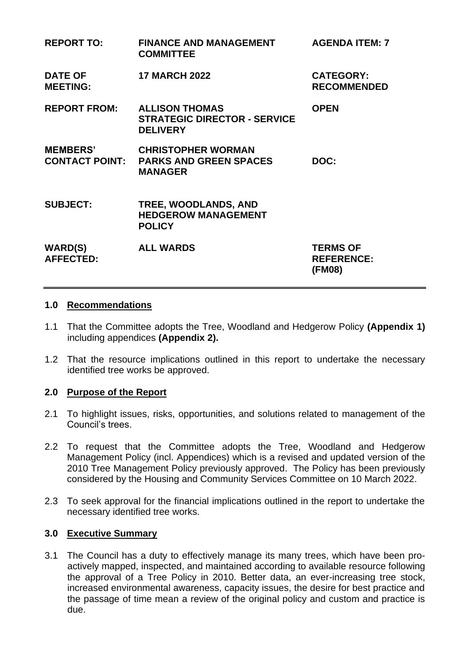| <b>REPORT TO:</b>                        | <b>FINANCE AND MANAGEMENT</b><br><b>COMMITTEE</b>                               | <b>AGENDA ITEM: 7</b>                          |
|------------------------------------------|---------------------------------------------------------------------------------|------------------------------------------------|
| <b>DATE OF</b><br><b>MEETING:</b>        | <b>17 MARCH 2022</b>                                                            | <b>CATEGORY:</b><br><b>RECOMMENDED</b>         |
| <b>REPORT FROM:</b>                      | <b>ALLISON THOMAS</b><br><b>STRATEGIC DIRECTOR - SERVICE</b><br><b>DELIVERY</b> | <b>OPEN</b>                                    |
| <b>MEMBERS'</b><br><b>CONTACT POINT:</b> | <b>CHRISTOPHER WORMAN</b><br><b>PARKS AND GREEN SPACES</b><br><b>MANAGER</b>    | DOC:                                           |
| <b>SUBJECT:</b>                          | TREE, WOODLANDS, AND<br><b>HEDGEROW MANAGEMENT</b><br><b>POLICY</b>             |                                                |
| <b>WARD(S)</b><br><b>AFFECTED:</b>       | <b>ALL WARDS</b>                                                                | <b>TERMS OF</b><br><b>REFERENCE:</b><br>(FM08) |

#### **1.0 Recommendations**

- 1.1 That the Committee adopts the Tree, Woodland and Hedgerow Policy **(Appendix 1)** including appendices **(Appendix 2).**
- 1.2 That the resource implications outlined in this report to undertake the necessary identified tree works be approved.

### **2.0 Purpose of the Report**

- 2.1 To highlight issues, risks, opportunities, and solutions related to management of the Council's trees.
- 2.2 To request that the Committee adopts the Tree, Woodland and Hedgerow Management Policy (incl. Appendices) which is a revised and updated version of the 2010 Tree Management Policy previously approved. The Policy has been previously considered by the Housing and Community Services Committee on 10 March 2022.
- 2.3 To seek approval for the financial implications outlined in the report to undertake the necessary identified tree works.

#### **3.0 Executive Summary**

3.1 The Council has a duty to effectively manage its many trees, which have been proactively mapped, inspected, and maintained according to available resource following the approval of a Tree Policy in 2010. Better data, an ever-increasing tree stock, increased environmental awareness, capacity issues, the desire for best practice and the passage of time mean a review of the original policy and custom and practice is due.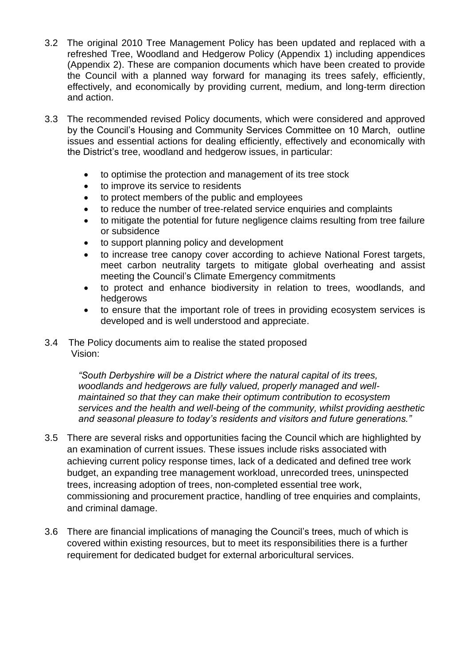- 3.2 The original 2010 Tree Management Policy has been updated and replaced with a refreshed Tree, Woodland and Hedgerow Policy (Appendix 1) including appendices (Appendix 2). These are companion documents which have been created to provide the Council with a planned way forward for managing its trees safely, efficiently, effectively, and economically by providing current, medium, and long-term direction and action.
- 3.3 The recommended revised Policy documents, which were considered and approved by the Council's Housing and Community Services Committee on 10 March, outline issues and essential actions for dealing efficiently, effectively and economically with the District's tree, woodland and hedgerow issues, in particular:
	- to optimise the protection and management of its tree stock
	- to improve its service to residents
	- to protect members of the public and employees
	- to reduce the number of tree-related service enquiries and complaints
	- to mitigate the potential for future negligence claims resulting from tree failure or subsidence
	- to support planning policy and development
	- to increase tree canopy cover according to achieve National Forest targets, meet carbon neutrality targets to mitigate global overheating and assist meeting the Council's Climate Emergency commitments
	- to protect and enhance biodiversity in relation to trees, woodlands, and hedgerows
	- to ensure that the important role of trees in providing ecosystem services is developed and is well understood and appreciate.
- 3.4 The Policy documents aim to realise the stated proposed Vision:

*"South Derbyshire will be a District where the natural capital of its trees, woodlands and hedgerows are fully valued, properly managed and wellmaintained so that they can make their optimum contribution to ecosystem services and the health and well-being of the community, whilst providing aesthetic and seasonal pleasure to today's residents and visitors and future generations."*

- 3.5 There are several risks and opportunities facing the Council which are highlighted by an examination of current issues. These issues include risks associated with achieving current policy response times, lack of a dedicated and defined tree work budget, an expanding tree management workload, unrecorded trees, uninspected trees, increasing adoption of trees, non-completed essential tree work, commissioning and procurement practice, handling of tree enquiries and complaints, and criminal damage.
- 3.6 There are financial implications of managing the Council's trees, much of which is covered within existing resources, but to meet its responsibilities there is a further requirement for dedicated budget for external arboricultural services.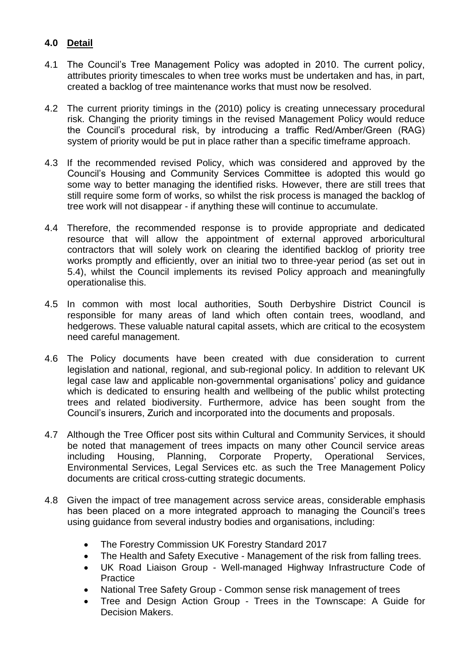# **4.0 Detail**

- 4.1 The Council's Tree Management Policy was adopted in 2010. The current policy, attributes priority timescales to when tree works must be undertaken and has, in part, created a backlog of tree maintenance works that must now be resolved.
- 4.2 The current priority timings in the (2010) policy is creating unnecessary procedural risk. Changing the priority timings in the revised Management Policy would reduce the Council's procedural risk, by introducing a traffic Red/Amber/Green (RAG) system of priority would be put in place rather than a specific timeframe approach.
- 4.3 If the recommended revised Policy, which was considered and approved by the Council's Housing and Community Services Committee is adopted this would go some way to better managing the identified risks. However, there are still trees that still require some form of works, so whilst the risk process is managed the backlog of tree work will not disappear - if anything these will continue to accumulate.
- 4.4 Therefore, the recommended response is to provide appropriate and dedicated resource that will allow the appointment of external approved arboricultural contractors that will solely work on clearing the identified backlog of priority tree works promptly and efficiently, over an initial two to three-year period (as set out in 5.4), whilst the Council implements its revised Policy approach and meaningfully operationalise this.
- 4.5 In common with most local authorities, South Derbyshire District Council is responsible for many areas of land which often contain trees, woodland, and hedgerows. These valuable natural capital assets, which are critical to the ecosystem need careful management.
- 4.6 The Policy documents have been created with due consideration to current legislation and national, regional, and sub-regional policy. In addition to relevant UK legal case law and applicable non-governmental organisations' policy and guidance which is dedicated to ensuring health and wellbeing of the public whilst protecting trees and related biodiversity. Furthermore, advice has been sought from the Council's insurers, Zurich and incorporated into the documents and proposals.
- 4.7 Although the Tree Officer post sits within Cultural and Community Services, it should be noted that management of trees impacts on many other Council service areas including Housing, Planning, Corporate Property, Operational Services, Environmental Services, Legal Services etc. as such the Tree Management Policy documents are critical cross-cutting strategic documents.
- 4.8 Given the impact of tree management across service areas, considerable emphasis has been placed on a more integrated approach to managing the Council's trees using guidance from several industry bodies and organisations, including:
	- The Forestry Commission UK Forestry Standard 2017
	- The Health and Safety Executive Management of the risk from falling trees.
	- UK Road Liaison Group Well-managed Highway Infrastructure Code of Practice
	- National Tree Safety Group Common sense risk management of trees
	- Tree and Design Action Group Trees in the Townscape: A Guide for Decision Makers.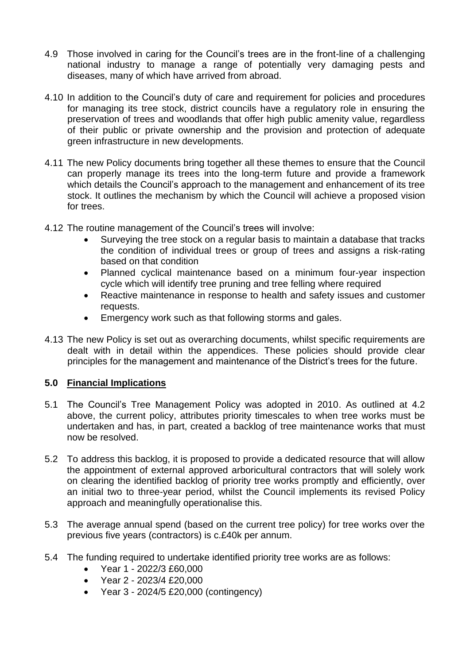- 4.9 Those involved in caring for the Council's trees are in the front-line of a challenging national industry to manage a range of potentially very damaging pests and diseases, many of which have arrived from abroad.
- 4.10 In addition to the Council's duty of care and requirement for policies and procedures for managing its tree stock, district councils have a regulatory role in ensuring the preservation of trees and woodlands that offer high public amenity value, regardless of their public or private ownership and the provision and protection of adequate green infrastructure in new developments.
- 4.11 The new Policy documents bring together all these themes to ensure that the Council can properly manage its trees into the long-term future and provide a framework which details the Council's approach to the management and enhancement of its tree stock. It outlines the mechanism by which the Council will achieve a proposed vision for trees.
- 4.12 The routine management of the Council's trees will involve:
	- Surveying the tree stock on a regular basis to maintain a database that tracks the condition of individual trees or group of trees and assigns a risk-rating based on that condition
	- Planned cyclical maintenance based on a minimum four-year inspection cycle which will identify tree pruning and tree felling where required
	- Reactive maintenance in response to health and safety issues and customer requests.
	- Emergency work such as that following storms and gales.
- 4.13 The new Policy is set out as overarching documents, whilst specific requirements are dealt with in detail within the appendices. These policies should provide clear principles for the management and maintenance of the District's trees for the future.

## **5.0 Financial Implications**

- 5.1 The Council's Tree Management Policy was adopted in 2010. As outlined at 4.2 above, the current policy, attributes priority timescales to when tree works must be undertaken and has, in part, created a backlog of tree maintenance works that must now be resolved.
- 5.2 To address this backlog, it is proposed to provide a dedicated resource that will allow the appointment of external approved arboricultural contractors that will solely work on clearing the identified backlog of priority tree works promptly and efficiently, over an initial two to three-year period, whilst the Council implements its revised Policy approach and meaningfully operationalise this.
- 5.3 The average annual spend (based on the current tree policy) for tree works over the previous five years (contractors) is c.£40k per annum.
- 5.4 The funding required to undertake identified priority tree works are as follows:
	- Year 1 2022/3 £60,000
	- Year 2 2023/4 £20,000
	- Year 3 2024/5 £20,000 (contingency)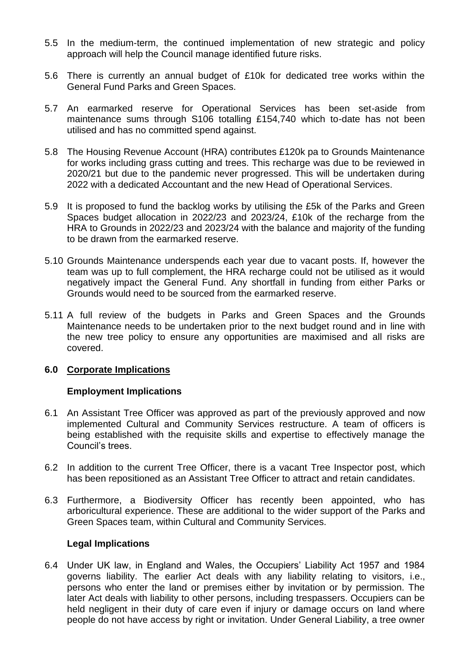- 5.5 In the medium-term, the continued implementation of new strategic and policy approach will help the Council manage identified future risks.
- 5.6 There is currently an annual budget of £10k for dedicated tree works within the General Fund Parks and Green Spaces.
- 5.7 An earmarked reserve for Operational Services has been set-aside from maintenance sums through S106 totalling £154,740 which to-date has not been utilised and has no committed spend against.
- 5.8 The Housing Revenue Account (HRA) contributes £120k pa to Grounds Maintenance for works including grass cutting and trees. This recharge was due to be reviewed in 2020/21 but due to the pandemic never progressed. This will be undertaken during 2022 with a dedicated Accountant and the new Head of Operational Services.
- 5.9 It is proposed to fund the backlog works by utilising the £5k of the Parks and Green Spaces budget allocation in 2022/23 and 2023/24, £10k of the recharge from the HRA to Grounds in 2022/23 and 2023/24 with the balance and majority of the funding to be drawn from the earmarked reserve.
- 5.10 Grounds Maintenance underspends each year due to vacant posts. If, however the team was up to full complement, the HRA recharge could not be utilised as it would negatively impact the General Fund. Any shortfall in funding from either Parks or Grounds would need to be sourced from the earmarked reserve.
- 5.11 A full review of the budgets in Parks and Green Spaces and the Grounds Maintenance needs to be undertaken prior to the next budget round and in line with the new tree policy to ensure any opportunities are maximised and all risks are covered.

### **6.0 Corporate Implications**

### **Employment Implications**

- 6.1 An Assistant Tree Officer was approved as part of the previously approved and now implemented Cultural and Community Services restructure. A team of officers is being established with the requisite skills and expertise to effectively manage the Council's trees.
- 6.2 In addition to the current Tree Officer, there is a vacant Tree Inspector post, which has been repositioned as an Assistant Tree Officer to attract and retain candidates.
- 6.3 Furthermore, a Biodiversity Officer has recently been appointed, who has arboricultural experience. These are additional to the wider support of the Parks and Green Spaces team, within Cultural and Community Services.

### **Legal Implications**

6.4 Under UK law, in England and Wales, the Occupiers' Liability Act 1957 and 1984 governs liability. The earlier Act deals with any liability relating to visitors, i.e., persons who enter the land or premises either by invitation or by permission. The later Act deals with liability to other persons, including trespassers. Occupiers can be held negligent in their duty of care even if injury or damage occurs on land where people do not have access by right or invitation. Under General Liability, a tree owner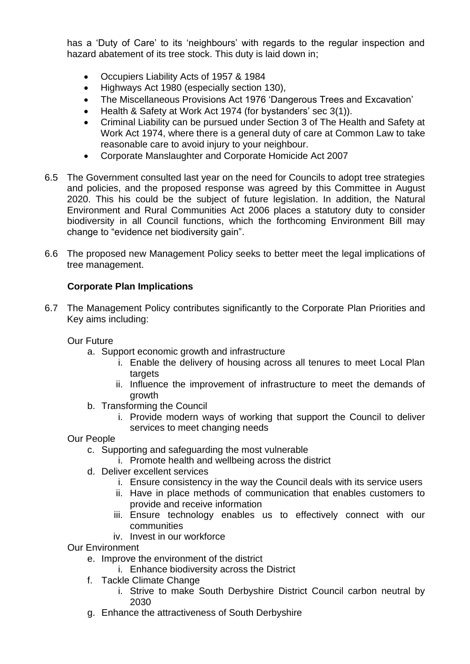has a 'Duty of Care' to its 'neighbours' with regards to the regular inspection and hazard abatement of its tree stock. This duty is laid down in;

- Occupiers Liability Acts of 1957 & 1984
- Highways Act 1980 (especially section 130),
- The Miscellaneous Provisions Act 1976 'Dangerous Trees and Excavation'
- Health & Safety at Work Act 1974 (for bystanders' sec 3(1)).
- Criminal Liability can be pursued under Section 3 of The Health and Safety at Work Act 1974, where there is a general duty of care at Common Law to take reasonable care to avoid injury to your neighbour.
- Corporate Manslaughter and Corporate Homicide Act 2007
- 6.5 The Government consulted last year on the need for Councils to adopt tree strategies and policies, and the proposed response was agreed by this Committee in August 2020. This his could be the subject of future legislation. In addition, the Natural Environment and Rural Communities Act 2006 places a statutory duty to consider biodiversity in all Council functions, which the forthcoming Environment Bill may change to "evidence net biodiversity gain".
- 6.6 The proposed new Management Policy seeks to better meet the legal implications of tree management.

## **Corporate Plan Implications**

6.7 The Management Policy contributes significantly to the Corporate Plan Priorities and Key aims including:

Our Future

- a. Support economic growth and infrastructure
	- i. Enable the delivery of housing across all tenures to meet Local Plan targets
	- ii. Influence the improvement of infrastructure to meet the demands of growth
- b. Transforming the Council
	- i. Provide modern ways of working that support the Council to deliver services to meet changing needs
- Our People
	- c. Supporting and safeguarding the most vulnerable
		- i. Promote health and wellbeing across the district
	- d. Deliver excellent services
		- i. Ensure consistency in the way the Council deals with its service users
		- ii. Have in place methods of communication that enables customers to provide and receive information
		- iii. Ensure technology enables us to effectively connect with our communities
		- iv. Invest in our workforce

Our Environment

- e. Improve the environment of the district
	- i. Enhance biodiversity across the District
- f. Tackle Climate Change
	- i. Strive to make South Derbyshire District Council carbon neutral by 2030
- g. Enhance the attractiveness of South Derbyshire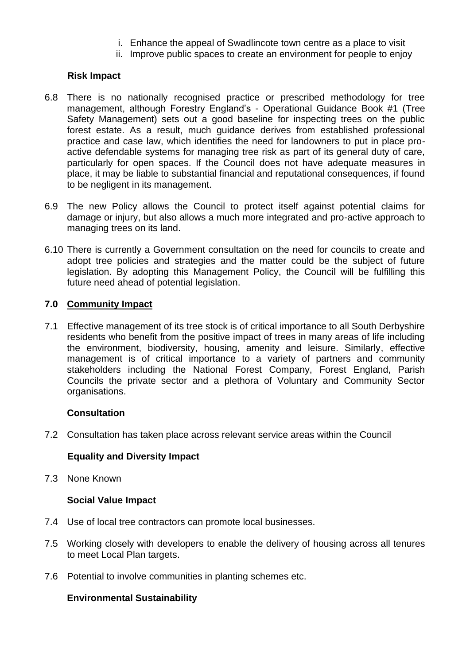- i. Enhance the appeal of Swadlincote town centre as a place to visit
- ii. Improve public spaces to create an environment for people to enjoy

### **Risk Impact**

- 6.8 There is no nationally recognised practice or prescribed methodology for tree management, although Forestry England's - Operational Guidance Book #1 (Tree Safety Management) sets out a good baseline for inspecting trees on the public forest estate. As a result, much guidance derives from established professional practice and case law, which identifies the need for landowners to put in place proactive defendable systems for managing tree risk as part of its general duty of care, particularly for open spaces. If the Council does not have adequate measures in place, it may be liable to substantial financial and reputational consequences, if found to be negligent in its management.
- 6.9 The new Policy allows the Council to protect itself against potential claims for damage or injury, but also allows a much more integrated and pro-active approach to managing trees on its land.
- 6.10 There is currently a Government consultation on the need for councils to create and adopt tree policies and strategies and the matter could be the subject of future legislation. By adopting this Management Policy, the Council will be fulfilling this future need ahead of potential legislation.

### **7.0 Community Impact**

7.1 Effective management of its tree stock is of critical importance to all South Derbyshire residents who benefit from the positive impact of trees in many areas of life including the environment, biodiversity, housing, amenity and leisure. Similarly, effective management is of critical importance to a variety of partners and community stakeholders including the National Forest Company, Forest England, Parish Councils the private sector and a plethora of Voluntary and Community Sector organisations.

### **Consultation**

7.2 Consultation has taken place across relevant service areas within the Council

## **Equality and Diversity Impact**

7.3 None Known

### **Social Value Impact**

- 7.4 Use of local tree contractors can promote local businesses.
- 7.5 Working closely with developers to enable the delivery of housing across all tenures to meet Local Plan targets.
- 7.6 Potential to involve communities in planting schemes etc.

## **Environmental Sustainability**